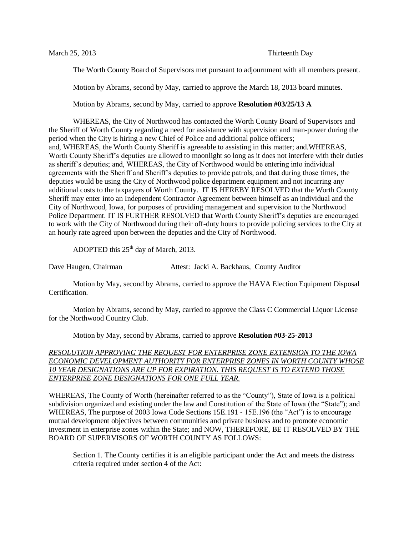The Worth County Board of Supervisors met pursuant to adjournment with all members present.

Motion by Abrams, second by May, carried to approve the March 18, 2013 board minutes.

Motion by Abrams, second by May, carried to approve **Resolution #03/25/13 A**

WHEREAS, the City of Northwood has contacted the Worth County Board of Supervisors and the Sheriff of Worth County regarding a need for assistance with supervision and man-power during the period when the City is hiring a new Chief of Police and additional police officers; and, WHEREAS, the Worth County Sheriff is agreeable to assisting in this matter; and.WHEREAS, Worth County Sheriff's deputies are allowed to moonlight so long as it does not interfere with their duties as sheriff's deputies; and, WHEREAS, the City of Northwood would be entering into individual agreements with the Sheriff and Sheriff's deputies to provide patrols, and that during those times, the deputies would be using the City of Northwood police department equipment and not incurring any additional costs to the taxpayers of Worth County. IT IS HEREBY RESOLVED that the Worth County Sheriff may enter into an Independent Contractor Agreement between himself as an individual and the City of Northwood, Iowa, for purposes of providing management and supervision to the Northwood Police Department. IT IS FURTHER RESOLVED that Worth County Sheriff's deputies are encouraged to work with the City of Northwood during their off-duty hours to provide policing services to the City at an hourly rate agreed upon between the deputies and the City of Northwood.

ADOPTED this  $25<sup>th</sup>$  day of March, 2013.

Dave Haugen, Chairman Attest: Jacki A. Backhaus, County Auditor

Motion by May, second by Abrams, carried to approve the HAVA Election Equipment Disposal Certification.

Motion by Abrams, second by May, carried to approve the Class C Commercial Liquor License for the Northwood Country Club.

Motion by May, second by Abrams, carried to approve **Resolution #03-25-2013**

## *RESOLUTION APPROVING THE REQUEST FOR ENTERPRISE ZONE EXTENSION TO THE IOWA ECONOMIC DEVELOPMENT AUTHORITY FOR ENTERPRISE ZONES IN WORTH COUNTY WHOSE 10 YEAR DESIGNATIONS ARE UP FOR EXPIRATION. THIS REQUEST IS TO EXTEND THOSE ENTERPRISE ZONE DESIGNATIONS FOR ONE FULL YEAR.*

WHEREAS, The County of Worth (hereinafter referred to as the "County"), State of Iowa is a political subdivision organized and existing under the law and Constitution of the State of Iowa (the "State"); and WHEREAS, The purpose of 2003 Iowa Code Sections 15E.191 - 15E.196 (the "Act") is to encourage mutual development objectives between communities and private business and to promote economic investment in enterprise zones within the State; and NOW, THEREFORE, BE IT RESOLVED BY THE BOARD OF SUPERVISORS OF WORTH COUNTY AS FOLLOWS:

Section 1. The County certifies it is an eligible participant under the Act and meets the distress criteria required under section 4 of the Act: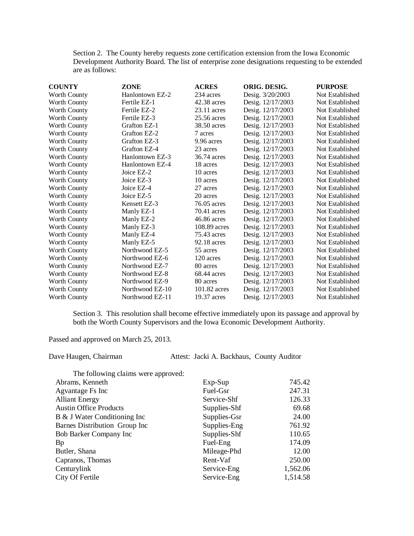Section 2. The County hereby requests zone certification extension from the Iowa Economic Development Authority Board. The list of enterprise zone designations requesting to be extended are as follows:

| <b>COUNTY</b> | <b>ZONE</b>     | <b>ACRES</b>  | ORIG. DESIG.      | <b>PURPOSE</b>  |
|---------------|-----------------|---------------|-------------------|-----------------|
| Worth County  | Hanlontown EZ-2 | 234 acres     | Desig. 3/20/2003  | Not Established |
| Worth County  | Fertile EZ-1    | 42.38 acres   | Desig. 12/17/2003 | Not Established |
| Worth County  | Fertile EZ-2    | $23.11$ acres | Desig. 12/17/2003 | Not Established |
| Worth County  | Fertile EZ-3    | 25.56 acres   | Desig. 12/17/2003 | Not Established |
| Worth County  | Grafton EZ-1    | 38.50 acres   | Desig. 12/17/2003 | Not Established |
| Worth County  | Grafton EZ-2    | 7 acres       | Desig. 12/17/2003 | Not Established |
| Worth County  | Grafton EZ-3    | 9.96 acres    | Desig. 12/17/2003 | Not Established |
| Worth County  | Grafton EZ-4    | 23 acres      | Desig. 12/17/2003 | Not Established |
| Worth County  | Hanlontown EZ-3 | 36.74 acres   | Desig. 12/17/2003 | Not Established |
| Worth County  | Hanlontown EZ-4 | 18 acres      | Desig. 12/17/2003 | Not Established |
| Worth County  | Joice EZ-2      | 10 acres      | Desig. 12/17/2003 | Not Established |
| Worth County  | Joice EZ-3      | 10 acres      | Desig. 12/17/2003 | Not Established |
| Worth County  | Joice EZ-4      | 27 acres      | Desig. 12/17/2003 | Not Established |
| Worth County  | Joice EZ-5      | 20 acres      | Desig. 12/17/2003 | Not Established |
| Worth County  | Kensett EZ-3    | 76.05 acres   | Desig. 12/17/2003 | Not Established |
| Worth County  | Manly EZ-1      | $70.41$ acres | Desig. 12/17/2003 | Not Established |
| Worth County  | Manly EZ-2      | 46.86 acres   | Desig. 12/17/2003 | Not Established |
| Worth County  | Manly EZ-3      | 108.89 acres  | Desig. 12/17/2003 | Not Established |
| Worth County  | Manly EZ-4      | 75.43 acres   | Desig. 12/17/2003 | Not Established |
| Worth County  | Manly EZ-5      | $92.18$ acres | Desig. 12/17/2003 | Not Established |
| Worth County  | Northwood EZ-5  | 55 acres      | Desig. 12/17/2003 | Not Established |
| Worth County  | Northwood EZ-6  | 120 acres     | Desig. 12/17/2003 | Not Established |
| Worth County  | Northwood EZ-7  | 80 acres      | Desig. 12/17/2003 | Not Established |
| Worth County  | Northwood EZ-8  | 68.44 acres   | Desig. 12/17/2003 | Not Established |
| Worth County  | Northwood EZ-9  | 80 acres      | Desig. 12/17/2003 | Not Established |
| Worth County  | Northwood EZ-10 | 101.82 acres  | Desig. 12/17/2003 | Not Established |
| Worth County  | Northwood EZ-11 | 19.37 acres   | Desig. 12/17/2003 | Not Established |

Section 3. This resolution shall become effective immediately upon its passage and approval by both the Worth County Supervisors and the Iowa Economic Development Authority.

Passed and approved on March 25, 2013.

Dave Haugen, Chairman Attest: Jacki A. Backhaus, County Auditor

The following claims were approved:

| Abrams, Kenneth               | $Exp-Sup$    | 745.42   |
|-------------------------------|--------------|----------|
| Agvantage Fs Inc              | Fuel-Gsr     | 247.31   |
| <b>Alliant Energy</b>         | Service-Shf  | 126.33   |
| <b>Austin Office Products</b> | Supplies-Shf | 69.68    |
| B & J Water Conditioning Inc  | Supplies-Gsr | 24.00    |
| Barnes Distribution Group Inc | Supplies-Eng | 761.92   |
| Bob Barker Company Inc        | Supplies-Shf | 110.65   |
| Bp                            | Fuel-Eng     | 174.09   |
| Butler, Shana                 | Mileage-Phd  | 12.00    |
| Capranos, Thomas              | Rent-Vaf     | 250.00   |
| Centurylink                   | Service-Eng  | 1,562.06 |
| City Of Fertile               | Service-Eng  | 1,514.58 |
|                               |              |          |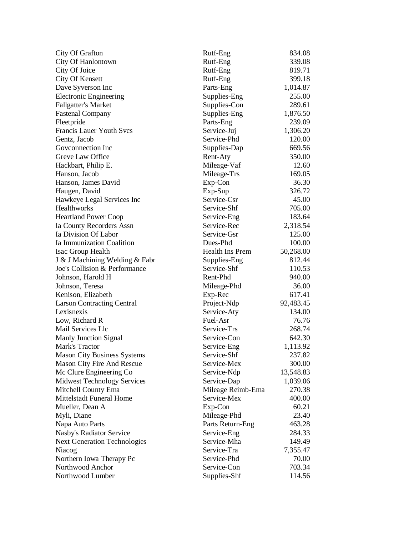| City Of Grafton                     | Rutf-Eng          | 834.08    |
|-------------------------------------|-------------------|-----------|
| City Of Hanlontown                  | Rutf-Eng          | 339.08    |
| City Of Joice                       | Rutf-Eng          | 819.71    |
| City Of Kensett                     | Rutf-Eng          | 399.18    |
| Dave Syverson Inc                   | Parts-Eng         | 1,014.87  |
| <b>Electronic Engineering</b>       | Supplies-Eng      | 255.00    |
| <b>Fallgatter's Market</b>          | Supplies-Con      | 289.61    |
| <b>Fastenal Company</b>             | Supplies-Eng      | 1,876.50  |
| Fleetpride                          | Parts-Eng         | 239.09    |
| <b>Francis Lauer Youth Svcs</b>     | Service-Juj       | 1,306.20  |
| Gentz, Jacob                        | Service-Phd       | 120.00    |
| Govconnection Inc                   | Supplies-Dap      | 669.56    |
| Greve Law Office                    | Rent-Aty          | 350.00    |
| Hackbart, Philip E.                 | Mileage-Vaf       | 12.60     |
| Hanson, Jacob                       | Mileage-Trs       | 169.05    |
| Hanson, James David                 | Exp-Con           | 36.30     |
| Haugen, David                       | Exp-Sup           | 326.72    |
| Hawkeye Legal Services Inc          | Service-Csr       | 45.00     |
| Healthworks                         | Service-Shf       | 705.00    |
| <b>Heartland Power Coop</b>         | Service-Eng       | 183.64    |
| Ia County Recorders Assn            | Service-Rec       | 2,318.54  |
| Ia Division Of Labor                | Service-Gsr       | 125.00    |
| Ia Immunization Coalition           | Dues-Phd          |           |
|                                     |                   | 100.00    |
| Isac Group Health                   | Health Ins Prem   | 50,268.00 |
| J & J Machining Welding & Fabr      | Supplies-Eng      | 812.44    |
| Joe's Collision & Performance       | Service-Shf       | 110.53    |
| Johnson, Harold H                   | Rent-Phd          | 940.00    |
| Johnson, Teresa                     | Mileage-Phd       | 36.00     |
| Kenison, Elizabeth                  | Exp-Rec           | 617.41    |
| <b>Larson Contracting Central</b>   | Project-Ndp       | 92,483.45 |
| Lexisnexis                          | Service-Aty       | 134.00    |
| Low, Richard R                      | Fuel-Asr          | 76.76     |
| Mail Services Llc                   | Service-Trs       | 268.74    |
| <b>Manly Junction Signal</b>        | Service-Con       | 642.30    |
| Mark's Tractor                      | Service-Eng       | 1,113.92  |
| <b>Mason City Business Systems</b>  | Service-Shf       | 237.82    |
| Mason City Fire And Rescue          | Service-Mex       | 300.00    |
| Mc Clure Engineering Co             | Service-Ndp       | 13,548.83 |
| <b>Midwest Technology Services</b>  | Service-Dap       | 1,039.06  |
| Mitchell County Ema                 | Mileage Reimb-Ema | 270.38    |
| <b>Mittelstadt Funeral Home</b>     | Service-Mex       | 400.00    |
| Mueller, Dean A                     | Exp-Con           | 60.21     |
| Myli, Diane                         | Mileage-Phd       | 23.40     |
| Napa Auto Parts                     | Parts Return-Eng  | 463.28    |
| Nasby's Radiator Service            | Service-Eng       | 284.33    |
| <b>Next Generation Technologies</b> | Service-Mha       | 149.49    |
| Niacog                              | Service-Tra       | 7,355.47  |
| Northern Iowa Therapy Pc            | Service-Phd       | 70.00     |
| Northwood Anchor                    | Service-Con       | 703.34    |
| Northwood Lumber                    | Supplies-Shf      | 114.56    |